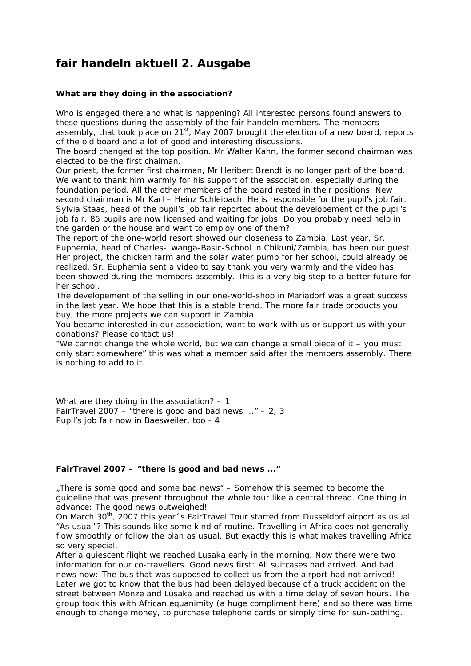## **fair handeln aktuell 2. Ausgabe**

## **What are they doing in the association?**

Who is engaged there and what is happening? All interested persons found answers to these questions during the assembly of the fair handeln members. The members assembly, that took place on  $21^{st}$ , May 2007 brought the election of a new board, reports of the old board and a lot of good and interesting discussions.

The board changed at the top position. Mr Walter Kahn, the former second chairman was elected to be the first chaiman.

Our priest, the former first chairman, Mr Heribert Brendt is no longer part of the board. We want to thank him warmly for his support of the association, especially during the foundation period. All the other members of the board rested in their positions. New second chairman is Mr Karl – Heinz Schleibach. He is responsible for the pupil's job fair. Sylvia Staas, head of the pupil's job fair reported about the developement of the pupil's job fair. 85 pupils are now licensed and waiting for jobs. Do you probably need help in the garden or the house and want to employ one of them?

The report of the one-world resort showed our closeness to Zambia. Last year, Sr. Euphemia, head of Charles-Lwanga-Basic-School in Chikuni/Zambia, has been our guest. Her project, the chicken farm and the solar water pump for her school, could already be realized. Sr. Euphemia sent a video to say thank you very warmly and the video has been showed during the members assembly. This is a very big step to a better future for her school.

The developement of the selling in our one-world-shop in Mariadorf was a great success in the last year. We hope that this is a stable trend. The more fair trade products you buy, the more projects we can support in Zambia.

You became interested in our association, want to work with us or support us with your donations? Please contact us!

"We cannot change the whole world, but we can change a small piece of it – you must only start somewhere" this was what a member said after the members assembly. There is nothing to add to it.

What are they doing in the association? - 1 FairTravel 2007 – "there is good and bad news  $\ldots$ " – 2, 3 Pupil's job fair now in Baesweiler, too - 4

## **FairTravel 2007 – "there is good and bad news ..."**

"There is some good and some bad news" - Somehow this seemed to become the guideline that was present throughout the whole tour like a central thread. One thing in advance: The good news outweighed!

On March 30<sup>th</sup>, 2007 this year 's FairTravel Tour started from Dusseldorf airport as usual. "As usual"? This sounds like some kind of routine. Travelling in Africa does not generally flow smoothly or follow the plan as usual. But exactly this is what makes travelling Africa so very special.

After a quiescent flight we reached Lusaka early in the morning. Now there were two information for our co-travellers. Good news first: All suitcases had arrived. And bad news now: The bus that was supposed to collect us from the airport had not arrived! Later we got to know that the bus had been delayed because of a truck accident on the street between Monze and Lusaka and reached us with a time delay of seven hours. The group took this with African equanimity (a huge compliment here) and so there was time enough to change money, to purchase telephone cards or simply time for sun-bathing.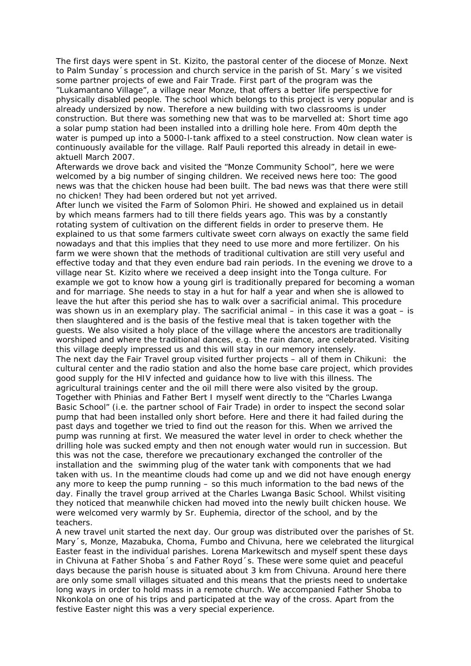The first days were spent in St. Kizito, the pastoral center of the diocese of Monze. Next to Palm Sunday´s procession and church service in the parish of St. Mary´s we visited some partner projects of *ewe* and *Fair Trade.* First part of the program was the "Lukamantano Village", a village near Monze, that offers a better life perspective for physically disabled people. The school which belongs to this project is very popular and is already undersized by now. Therefore a new building with two classrooms is under construction. But there was something new that was to be marvelled at: Short time ago a solar pump station had been installed into a drilling hole here. From 40m depth the water is pumped up into a 5000-l-tank affixed to a steel construction. Now clean water is continuously available for the village. Ralf Pauli reported this already in detail in *eweaktuell March 2007.* 

Afterwards we drove back and visited the "Monze Community School", here we were welcomed by a big number of singing children. We received news here too: The good news was that the chicken house had been built. The bad news was that there were still no chicken! They had been ordered but not yet arrived.

After lunch we visited the Farm of Solomon Phiri. He showed and explained us in detail by which means farmers had to till there fields years ago. This was by a constantly rotating system of cultivation on the different fields in order to preserve them. He explained to us that some farmers cultivate sweet corn always on exactly the same field nowadays and that this implies that they need to use more and more fertilizer. On his farm we were shown that the methods of traditional cultivation are still very useful and effective today and that they even endure bad rain periods. In the evening we drove to a village near St. Kizito where we received a deep insight into the Tonga culture. For example we got to know how a young girl is traditionally prepared for becoming a woman and for marriage. She needs to stay in a hut for half a year and when she is allowed to leave the hut after this period she has to walk over a sacrificial animal. This procedure was shown us in an exemplary play. The sacrificial animal – in this case it was a goat – is then slaughtered and is the basis of the festive meal that is taken together with the guests. We also visited a holy place of the village where the ancestors are traditionally worshiped and where the traditional dances, e.g. the rain dance, are celebrated. Visiting this village deeply impressed us and this will stay in our memory intensely. The next day the Fair Travel group visited further projects – all of them in Chikuni: the cultural center and the radio station and also the home base care project, which provides good supply for the HIV infected and guidance how to live with this illness. The agricultural trainings center and the oil mill there were also visited by the group. Together with Phinias and Father Bert I myself went directly to the "Charles Lwanga Basic School" (i.e. the partner school of *Fair Trade*) in order to inspect the second solar pump that had been installed only short before. Here and there it had failed during the past days and together we tried to find out the reason for this. When we arrived the pump was running at first. We measured the water level in order to check whether the drilling hole was sucked empty and then not enough water would run in succession. But this was not the case, therefore we precautionary exchanged the controller of the installation and the swimming plug of the water tank with components that we had taken with us. In the meantime clouds had come up and we did not have enough energy any more to keep the pump running – so this much information to the bad news of the day. Finally the travel group arrived at the Charles Lwanga Basic School. Whilst visiting they noticed that meanwhile chicken had moved into the newly built chicken house. We were welcomed very warmly by Sr. Euphemia, director of the school, and by the teachers.

A new travel unit started the next day. Our group was distributed over the parishes of St. Mary´s, Monze, Mazabuka, Choma, Fumbo and Chivuna, here we celebrated the liturgical Easter feast in the individual parishes. Lorena Markewitsch and myself spent these days in Chivuna at Father Shoba´s and Father Royd´s. These were some quiet and peaceful days because the parish house is situated about 3 km from Chivuna. Around here there are only some small villages situated and this means that the priests need to undertake long ways in order to hold mass in a remote church. We accompanied Father Shoba to Nkonkola on one of his trips and participated at the way of the cross. Apart from the festive Easter night this was a very special experience.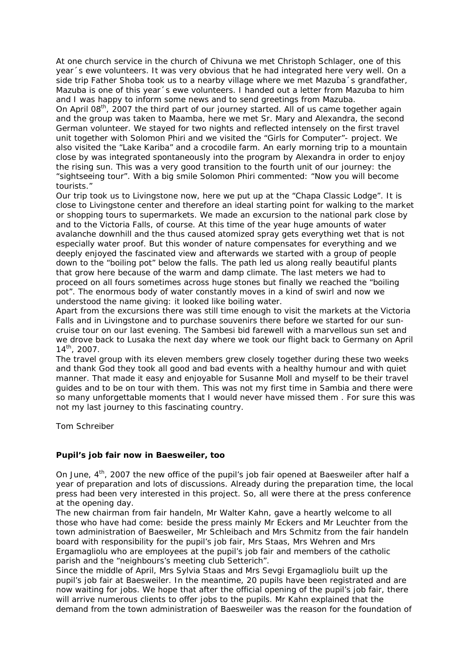At one church service in the church of Chivuna we met Christoph Schlager, one of this year´s ewe volunteers. It was very obvious that he had integrated here very well. On a side trip Father Shoba took us to a nearby village where we met Mazuba's grandfather, Mazuba is one of this year´s *ewe* volunteers. I handed out a letter from Mazuba to him and I was happy to inform some news and to send greetings from Mazuba.

On April 08<sup>th</sup>, 2007 the third part of our journey started. All of us came together again and the group was taken to Maamba, here we met Sr. Mary and Alexandra, the second German volunteer. We stayed for two nights and reflected intensely on the first travel unit together with Solomon Phiri and we visited the "Girls for Computer"- project. We also visited the "Lake Kariba" and a crocodile farm. An early morning trip to a mountain close by was integrated spontaneously into the program by Alexandra in order to enjoy the rising sun. This was a very good transition to the fourth unit of our journey: the "sightseeing tour". With a big smile Solomon Phiri commented: "Now you will become tourists."

Our trip took us to Livingstone now, here we put up at the "Chapa Classic Lodge". It is close to Livingstone center and therefore an ideal starting point for walking to the market or shopping tours to supermarkets. We made an excursion to the national park close by and to the Victoria Falls, of course. At this time of the year huge amounts of water avalanche downhill and the thus caused atomized spray gets everything wet that is not especially water proof. But this wonder of nature compensates for everything and we deeply enjoyed the fascinated view and afterwards we started with a group of people down to the "boiling pot" below the falls. The path led us along really beautiful plants that grow here because of the warm and damp climate. The last meters we had to proceed on all fours sometimes across huge stones but finally we reached the "boiling pot". The enormous body of water constantly moves in a kind of swirl and now we understood the name giving: it looked like boiling water.

Apart from the excursions there was still time enough to visit the markets at the Victoria Falls and in Livingstone and to purchase souvenirs there before we started for our suncruise tour on our last evening. The Sambesi bid farewell with a marvellous sun set and we drove back to Lusaka the next day where we took our flight back to Germany on April  $14^{th}$ , 2007.

The travel group with its eleven members grew closely together during these two weeks and thank God they took all good and bad events with a healthy humour and with quiet manner. That made it easy and enjoyable for Susanne Moll and myself to be their travel guides and to be on tour with them. This was not my first time in Sambia and there were so many unforgettable moments that I would never have missed them . For sure this was not my last journey to this fascinating country.

Tom Schreiber

## **Pupil's job fair now in Baesweiler, too**

On June, 4<sup>th</sup>, 2007 the new office of the pupil's job fair opened at Baesweiler after half a year of preparation and lots of discussions. Already during the preparation time, the local press had been very interested in this project. So, all were there at the press conference at the opening day.

The new chairman from fair handeln, Mr Walter Kahn, gave a heartly welcome to all those who have had come: beside the press mainly Mr Eckers and Mr Leuchter from the town administration of Baesweiler, Mr Schleibach and Mrs Schmitz from the fair handeln board with responsibility for the pupil's job fair, Mrs Staas, Mrs Wehren and Mrs Ergamagliolu who are employees at the pupil's job fair and members of the catholic parish and the "neighbours's meeting club Setterich".

Since the middle of April, Mrs Sylvia Staas and Mrs Sevgi Ergamagliolu built up the pupil's job fair at Baesweiler. In the meantime, 20 pupils have been registrated and are now waiting for jobs. We hope that after the official opening of the pupil's job fair, there will arrive numerous clients to offer jobs to the pupils. Mr Kahn explained that the demand from the town administration of Baesweiler was the reason for the foundation of